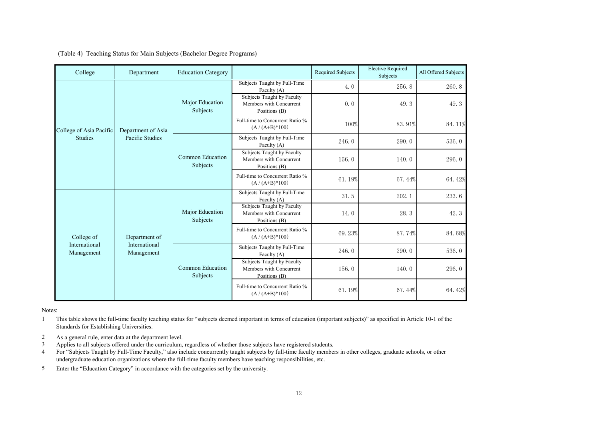|  |  | (Table 4) Teaching Status for Main Subjects (Bachelor Degree Programs) |  |
|--|--|------------------------------------------------------------------------|--|
|  |  |                                                                        |  |

| College                     | Department                                   | <b>Education Category</b>    |                                                                        | <b>Required Subjects</b> | <b>Elective Required</b><br>Subjects | All Offered Subjects |
|-----------------------------|----------------------------------------------|------------------------------|------------------------------------------------------------------------|--------------------------|--------------------------------------|----------------------|
|                             | Department of Asia<br>Pacific Studies        | Major Education<br>Subjects  | Subjects Taught by Full-Time<br>Faculty $(A)$                          | 4.0                      | 256.8                                | 260.8                |
|                             |                                              |                              | Subjects Taught by Faculty<br>Members with Concurrent<br>Positions (B) | 0.0                      | 49.3                                 | 49.3                 |
| College of Asia Pacific     |                                              |                              | Full-time to Concurrent Ratio %<br>$(A / (A+B)*100)$                   | 100%                     | 83.91%                               | 84.11%               |
| <b>Studies</b>              |                                              | Common Education<br>Subjects | Subjects Taught by Full-Time<br>Faculty (A)                            | 246.0                    | 290.0                                | 536.0                |
|                             |                                              |                              | Subjects Taught by Faculty<br>Members with Concurrent<br>Positions (B) | 156.0                    | 140.0                                | 296.0                |
|                             |                                              |                              | Full-time to Concurrent Ratio %<br>$(A / (A+B)*100)$                   | 61.19%                   | 67.44%                               | 64.42%               |
| College of                  | Department of<br>International<br>Management | Major Education<br>Subjects  | Subjects Taught by Full-Time<br>Faculty (A)                            | 31.5                     | 202.1                                | 233.6                |
|                             |                                              |                              | Subjects Taught by Faculty<br>Members with Concurrent<br>Positions (B) | 14.0                     | 28.3                                 | 42.3                 |
|                             |                                              |                              | Full-time to Concurrent Ratio %<br>$(A / (A+B)*100)$                   | 69.23%                   | 87.74%                               | 84.68%               |
| International<br>Management |                                              | Common Education<br>Subjects | Subjects Taught by Full-Time<br>Faculty $(A)$                          | 246.0                    | 290.0                                | 536.0                |
|                             |                                              |                              | Subjects Taught by Faculty<br>Members with Concurrent<br>Positions (B) | 156.0                    | 140.0                                | 296.0                |
|                             |                                              |                              | Full-time to Concurrent Ratio %<br>$(A / (A+B)*100)$                   | 61.19%                   | 67.44%                               | 64.42%               |

Notes:

1 This table shows the full-time faculty teaching status for "subjects deemed important in terms of education (important subjects)" as specified in Article 10-1 of the Standards for Establishing Universities.

- 2 As a general rule, enter data at the department level.
- 3 Applies to all subjects offered under the curriculum, regardless of whether those subjects have registered students.
- 4 For "Subjects Taught by Full-Time Faculty," also include concurrently taught subjects by full-time faculty members in other colleges, graduate schools, or other undergraduate education organizations where the full-time faculty members have teaching responsibilities, etc.
- 5 Enter the "Education Category" in accordance with the categories set by the university.